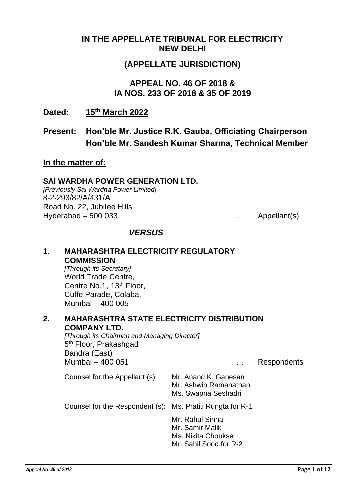# **IN THE APPELLATE TRIBUNAL FOR ELECTRICITY NEW DELHI**

# **(APPELLATE JURISDICTION)**

## **APPEAL NO. 46 OF 2018 & IA NOS. 233 OF 2018 & 35 OF 2019**

**Dated: 15th March 2022**

# **Present: Hon'ble Mr. Justice R.K. Gauba, Officiating Chairperson Hon'ble Mr. Sandesh Kumar Sharma, Technical Member**

#### **In the matter of:**

#### **SAI WARDHA POWER GENERATION LTD.**

*[Previously Sai Wardha Power Limited]* 8-2-293/82/A/431/A Road No. 22, Jubilee Hills Hyderabad – 500 033 ... Appellant(s)

## *VERSUS*

# **1. MAHARASHTRA ELECTRICITY REGULATORY COMMISSION** *[Through its Secretary]* World Trade Centre, Centre No.1, 13<sup>th</sup> Floor, Cuffe Parade, Colaba, Mumbai – 400 005 **2. MAHARASHTRA STATE ELECTRICITY DISTRIBUTION COMPANY LTD.** *[Through its Chairman and Managing Director]* 5<sup>th</sup> Floor, Prakashgad Bandra (East) Mumbai – 400 051 … Respondents Counsel for the Appellant (s): Mr. Anand K. Ganesan Mr. Ashwin Ramanathan Ms. Swapna Seshadri Counsel for the Respondent (s): Ms. Pratiti Rungta for R-1 Mr. Rahul Sinha Mr. Samir Malik Ms. Nikita Choukse Mr. Sahil Sood for R-2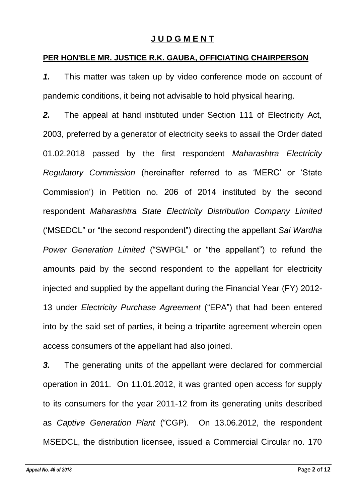# **J U D G M E N T**

#### **PER HON'BLE MR. JUSTICE R.K. GAUBA, OFFICIATING CHAIRPERSON**

*1.* This matter was taken up by video conference mode on account of pandemic conditions, it being not advisable to hold physical hearing.

*2.* The appeal at hand instituted under Section 111 of Electricity Act, 2003, preferred by a generator of electricity seeks to assail the Order dated 01.02.2018 passed by the first respondent *Maharashtra Electricity Regulatory Commission* (hereinafter referred to as 'MERC' or 'State Commission') in Petition no. 206 of 2014 instituted by the second respondent *Maharashtra State Electricity Distribution Company Limited* ('MSEDCL" or "the second respondent") directing the appellant *Sai Wardha Power Generation Limited* ("SWPGL" or "the appellant") to refund the amounts paid by the second respondent to the appellant for electricity injected and supplied by the appellant during the Financial Year (FY) 2012- 13 under *Electricity Purchase Agreement* ("EPA") that had been entered into by the said set of parties, it being a tripartite agreement wherein open access consumers of the appellant had also joined.

*3.* The generating units of the appellant were declared for commercial operation in 2011. On 11.01.2012, it was granted open access for supply to its consumers for the year 2011-12 from its generating units described as *Captive Generation Plant* ("CGP). On 13.06.2012, the respondent MSEDCL, the distribution licensee, issued a Commercial Circular no. 170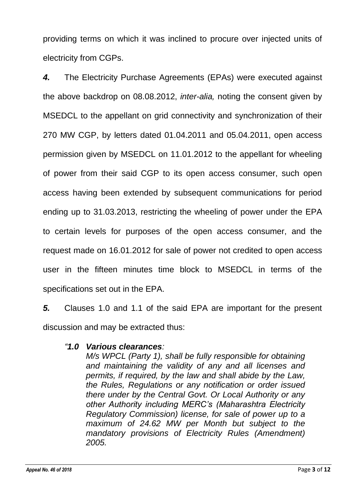providing terms on which it was inclined to procure over injected units of electricity from CGPs.

*4.* The Electricity Purchase Agreements (EPAs) were executed against the above backdrop on 08.08.2012, *inter-alia,* noting the consent given by MSEDCL to the appellant on grid connectivity and synchronization of their 270 MW CGP, by letters dated 01.04.2011 and 05.04.2011, open access permission given by MSEDCL on 11.01.2012 to the appellant for wheeling of power from their said CGP to its open access consumer, such open access having been extended by subsequent communications for period ending up to 31.03.2013, restricting the wheeling of power under the EPA to certain levels for purposes of the open access consumer, and the request made on 16.01.2012 for sale of power not credited to open access user in the fifteen minutes time block to MSEDCL in terms of the specifications set out in the EPA.

*5.* Clauses 1.0 and 1.1 of the said EPA are important for the present discussion and may be extracted thus:

# *"1.0 Various clearances:*

*M/s WPCL (Party 1), shall be fully responsible for obtaining and maintaining the validity of any and all licenses and permits, if required, by the law and shall abide by the Law, the Rules, Regulations or any notification or order issued there under by the Central Govt. Or Local Authority or any other Authority including MERC's (Maharashtra Electricity Regulatory Commission) license, for sale of power up to a maximum of 24.62 MW per Month but subject to the mandatory provisions of Electricity Rules (Amendment) 2005.*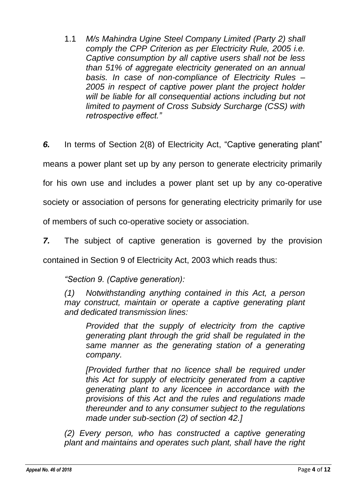1.1 *M/s Mahindra Ugine Steel Company Limited (Party 2) shall comply the CPP Criterion as per Electricity Rule, 2005 i.e. Captive consumption by all captive users shall not be less than 51% of aggregate electricity generated on an annual basis. In case of non-compliance of Electricity Rules – 2005 in respect of captive power plant the project holder will be liable for all consequential actions including but not limited to payment of Cross Subsidy Surcharge (CSS) with retrospective effect."*

*6.* In terms of Section 2(8) of Electricity Act, "Captive generating plant"

means a power plant set up by any person to generate electricity primarily

for his own use and includes a power plant set up by any co-operative

society or association of persons for generating electricity primarily for use

of members of such co-operative society or association.

*7.* The subject of captive generation is governed by the provision

contained in Section 9 of Electricity Act, 2003 which reads thus:

*"Section 9. (Captive generation):*

*(1) Notwithstanding anything contained in this Act, a person may construct, maintain or operate a captive generating plant and dedicated transmission lines:*

*Provided that the supply of electricity from the captive generating plant through the grid shall be regulated in the same manner as the generating station of a generating company.*

*[Provided further that no licence shall be required under this Act for supply of electricity generated from a captive generating plant to any licencee in accordance with the provisions of this Act and the rules and regulations made thereunder and to any consumer subject to the regulations made under sub-section (2) of section 42.]*

*(2) Every person, who has constructed a captive generating plant and maintains and operates such plant, shall have the right*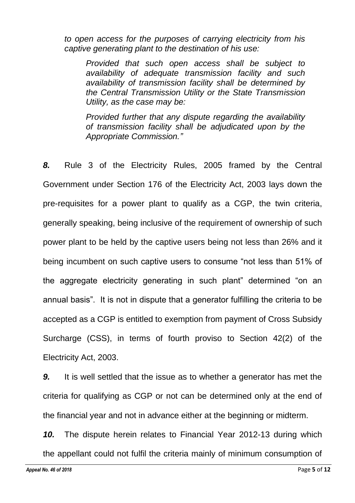*to open access for the purposes of carrying electricity from his captive generating plant to the destination of his use:*

*Provided that such open access shall be subject to availability of adequate transmission facility and such availability of transmission facility shall be determined by the Central Transmission Utility or the State Transmission Utility, as the case may be:*

*Provided further that any dispute regarding the availability of transmission facility shall be adjudicated upon by the Appropriate Commission."*

*8.* Rule 3 of the Electricity Rules, 2005 framed by the Central Government under Section 176 of the Electricity Act, 2003 lays down the pre-requisites for a power plant to qualify as a CGP, the twin criteria, generally speaking, being inclusive of the requirement of ownership of such power plant to be held by the captive users being not less than 26% and it being incumbent on such captive users to consume "not less than 51% of the aggregate electricity generating in such plant" determined "on an annual basis". It is not in dispute that a generator fulfilling the criteria to be accepted as a CGP is entitled to exemption from payment of Cross Subsidy Surcharge (CSS), in terms of fourth proviso to Section 42(2) of the Electricity Act, 2003.

*9.* It is well settled that the issue as to whether a generator has met the criteria for qualifying as CGP or not can be determined only at the end of the financial year and not in advance either at the beginning or midterm.

*10.* The dispute herein relates to Financial Year 2012-13 during which the appellant could not fulfil the criteria mainly of minimum consumption of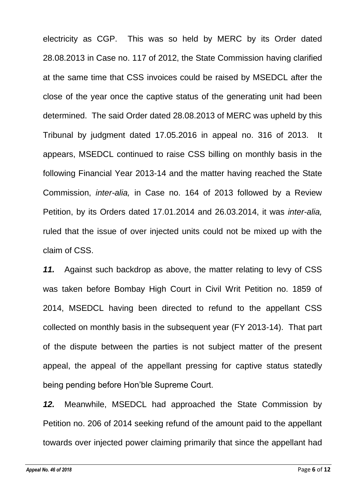electricity as CGP. This was so held by MERC by its Order dated 28.08.2013 in Case no. 117 of 2012, the State Commission having clarified at the same time that CSS invoices could be raised by MSEDCL after the close of the year once the captive status of the generating unit had been determined. The said Order dated 28.08.2013 of MERC was upheld by this Tribunal by judgment dated 17.05.2016 in appeal no. 316 of 2013. It appears, MSEDCL continued to raise CSS billing on monthly basis in the following Financial Year 2013-14 and the matter having reached the State Commission, *inter-alia,* in Case no. 164 of 2013 followed by a Review Petition, by its Orders dated 17.01.2014 and 26.03.2014, it was *inter-alia,* ruled that the issue of over injected units could not be mixed up with the claim of CSS.

*11.* Against such backdrop as above, the matter relating to levy of CSS was taken before Bombay High Court in Civil Writ Petition no. 1859 of 2014, MSEDCL having been directed to refund to the appellant CSS collected on monthly basis in the subsequent year (FY 2013-14). That part of the dispute between the parties is not subject matter of the present appeal, the appeal of the appellant pressing for captive status statedly being pending before Hon'ble Supreme Court.

*12.* Meanwhile, MSEDCL had approached the State Commission by Petition no. 206 of 2014 seeking refund of the amount paid to the appellant towards over injected power claiming primarily that since the appellant had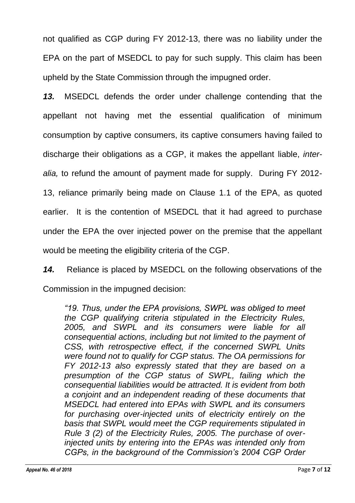not qualified as CGP during FY 2012-13, there was no liability under the EPA on the part of MSEDCL to pay for such supply. This claim has been upheld by the State Commission through the impugned order.

*13.* MSEDCL defends the order under challenge contending that the appellant not having met the essential qualification of minimum consumption by captive consumers, its captive consumers having failed to discharge their obligations as a CGP, it makes the appellant liable, *interalia,* to refund the amount of payment made for supply. During FY 2012- 13, reliance primarily being made on Clause 1.1 of the EPA, as quoted earlier. It is the contention of MSEDCL that it had agreed to purchase under the EPA the over injected power on the premise that the appellant would be meeting the eligibility criteria of the CGP.

*14.* Reliance is placed by MSEDCL on the following observations of the Commission in the impugned decision:

*"19. Thus, under the EPA provisions, SWPL was obliged to meet the CGP qualifying criteria stipulated in the Electricity Rules, 2005, and SWPL and its consumers were liable for all consequential actions, including but not limited to the payment of CSS, with retrospective effect, if the concerned SWPL Units were found not to qualify for CGP status. The OA permissions for FY 2012-13 also expressly stated that they are based on a presumption of the CGP status of SWPL, failing which the consequential liabilities would be attracted. It is evident from both a conjoint and an independent reading of these documents that MSEDCL had entered into EPAs with SWPL and its consumers for purchasing over-injected units of electricity entirely on the basis that SWPL would meet the CGP requirements stipulated in Rule 3 (2) of the Electricity Rules, 2005. The purchase of overinjected units by entering into the EPAs was intended only from CGPs, in the background of the Commission's 2004 CGP Order*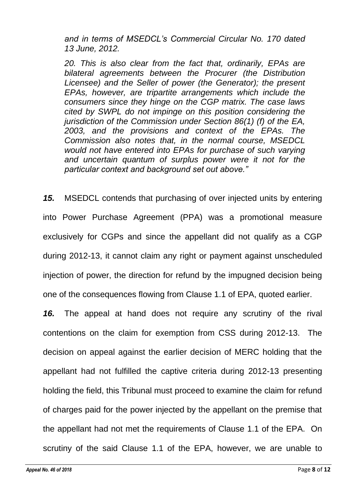*and in terms of MSEDCL's Commercial Circular No. 170 dated 13 June, 2012.*

*20. This is also clear from the fact that, ordinarily, EPAs are bilateral agreements between the Procurer (the Distribution Licensee) and the Seller of power (the Generator); the present EPAs, however, are tripartite arrangements which include the consumers since they hinge on the CGP matrix. The case laws cited by SWPL do not impinge on this position considering the jurisdiction of the Commission under Section 86(1) (f) of the EA, 2003, and the provisions and context of the EPAs. The Commission also notes that, in the normal course, MSEDCL would not have entered into EPAs for purchase of such varying and uncertain quantum of surplus power were it not for the particular context and background set out above."*

*15.* MSEDCL contends that purchasing of over injected units by entering into Power Purchase Agreement (PPA) was a promotional measure exclusively for CGPs and since the appellant did not qualify as a CGP during 2012-13, it cannot claim any right or payment against unscheduled injection of power, the direction for refund by the impugned decision being one of the consequences flowing from Clause 1.1 of EPA, quoted earlier.

*16.* The appeal at hand does not require any scrutiny of the rival contentions on the claim for exemption from CSS during 2012-13. The decision on appeal against the earlier decision of MERC holding that the appellant had not fulfilled the captive criteria during 2012-13 presenting holding the field, this Tribunal must proceed to examine the claim for refund of charges paid for the power injected by the appellant on the premise that the appellant had not met the requirements of Clause 1.1 of the EPA. On scrutiny of the said Clause 1.1 of the EPA, however, we are unable to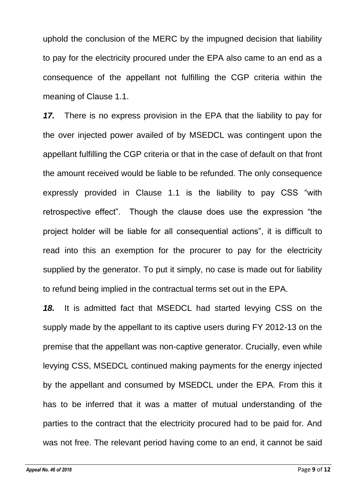uphold the conclusion of the MERC by the impugned decision that liability to pay for the electricity procured under the EPA also came to an end as a consequence of the appellant not fulfilling the CGP criteria within the meaning of Clause 1.1.

*17.* There is no express provision in the EPA that the liability to pay for the over injected power availed of by MSEDCL was contingent upon the appellant fulfilling the CGP criteria or that in the case of default on that front the amount received would be liable to be refunded. The only consequence expressly provided in Clause 1.1 is the liability to pay CSS "with retrospective effect". Though the clause does use the expression "the project holder will be liable for all consequential actions", it is difficult to read into this an exemption for the procurer to pay for the electricity supplied by the generator. To put it simply, no case is made out for liability to refund being implied in the contractual terms set out in the EPA.

*18.* It is admitted fact that MSEDCL had started levying CSS on the supply made by the appellant to its captive users during FY 2012-13 on the premise that the appellant was non-captive generator. Crucially, even while levying CSS, MSEDCL continued making payments for the energy injected by the appellant and consumed by MSEDCL under the EPA. From this it has to be inferred that it was a matter of mutual understanding of the parties to the contract that the electricity procured had to be paid for. And was not free. The relevant period having come to an end, it cannot be said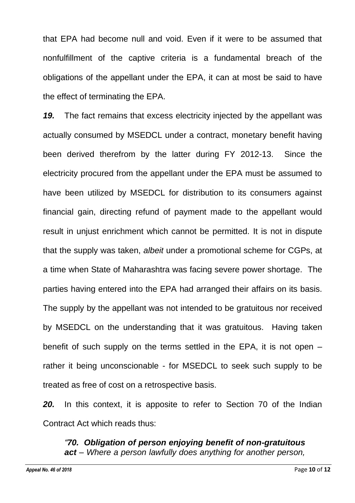that EPA had become null and void. Even if it were to be assumed that nonfulfillment of the captive criteria is a fundamental breach of the obligations of the appellant under the EPA, it can at most be said to have the effect of terminating the EPA.

*19.* The fact remains that excess electricity injected by the appellant was actually consumed by MSEDCL under a contract, monetary benefit having been derived therefrom by the latter during FY 2012-13. Since the electricity procured from the appellant under the EPA must be assumed to have been utilized by MSEDCL for distribution to its consumers against financial gain, directing refund of payment made to the appellant would result in unjust enrichment which cannot be permitted. It is not in dispute that the supply was taken, *albeit* under a promotional scheme for CGPs, at a time when State of Maharashtra was facing severe power shortage. The parties having entered into the EPA had arranged their affairs on its basis. The supply by the appellant was not intended to be gratuitous nor received by MSEDCL on the understanding that it was gratuitous. Having taken benefit of such supply on the terms settled in the EPA, it is not open – rather it being unconscionable - for MSEDCL to seek such supply to be treated as free of cost on a retrospective basis.

*20.* In this context, it is apposite to refer to Section 70 of the Indian Contract Act which reads thus:

*"70. Obligation of person enjoying benefit of non-gratuitous act – Where a person lawfully does anything for another person,*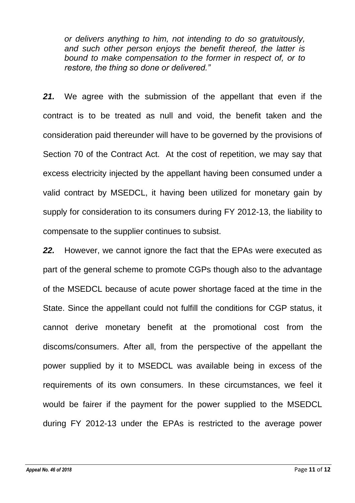*or delivers anything to him, not intending to do so gratuitously, and such other person enjoys the benefit thereof, the latter is bound to make compensation to the former in respect of, or to restore, the thing so done or delivered."*

*21.* We agree with the submission of the appellant that even if the contract is to be treated as null and void, the benefit taken and the consideration paid thereunder will have to be governed by the provisions of Section 70 of the Contract Act. At the cost of repetition, we may say that excess electricity injected by the appellant having been consumed under a valid contract by MSEDCL, it having been utilized for monetary gain by supply for consideration to its consumers during FY 2012-13, the liability to compensate to the supplier continues to subsist.

*22.* However, we cannot ignore the fact that the EPAs were executed as part of the general scheme to promote CGPs though also to the advantage of the MSEDCL because of acute power shortage faced at the time in the State. Since the appellant could not fulfill the conditions for CGP status, it cannot derive monetary benefit at the promotional cost from the discoms/consumers. After all, from the perspective of the appellant the power supplied by it to MSEDCL was available being in excess of the requirements of its own consumers. In these circumstances, we feel it would be fairer if the payment for the power supplied to the MSEDCL during FY 2012-13 under the EPAs is restricted to the average power